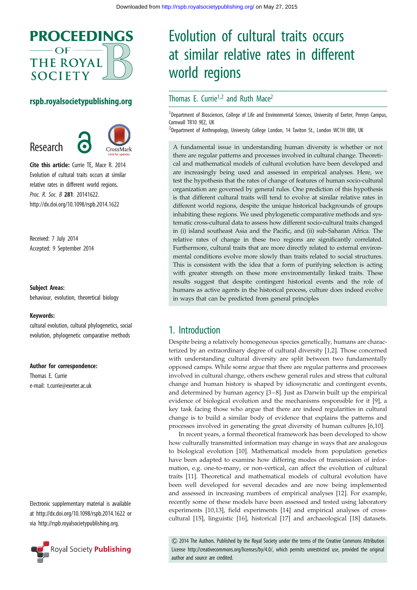

## rspb.royalsocietypublishing.org

Research

Cite this article: Currie TE, Mace R. 2014 Evolution of cultural traits occurs at similar relative rates in different world regions. Proc. R. Soc. B 281: 20141622. http://dx.doi.org/10.1098/rspb.2014.1622

Received: 7 July 2014 Accepted: 9 September 2014

#### Subject Areas:

behaviour, evolution, theoretical biology

#### Keywords:

cultural evolution, cultural phylogenetics, social evolution, phylogenetic comparative methods

#### Author for correspondence:

Thomas E. Currie e-mail: [t.currie@exeter.ac.uk](mailto:t.currie@exeter.ac.uk)

Electronic supplementary material is available at<http://dx.doi.org/10.1098/rspb.2014.1622> or via<http://rspb.royalsocietypublishing.org>.



# Evolution of cultural traits occurs at similar relative rates in different world regions

# Thomas E. Currie<sup>1,2</sup> and Ruth Mace<sup>2</sup>

<sup>1</sup>Department of Biosciences, College of Life and Environmental Sciences, University of Exeter, Penryn Campus, Cornwall TR10 9F7 LIK

<sup>2</sup>Department of Anthropology, University College London, 14 Taviton St., London WC1H 0BH, UK

A fundamental issue in understanding human diversity is whether or not there are regular patterns and processes involved in cultural change. Theoretical and mathematical models of cultural evolution have been developed and are increasingly being used and assessed in empirical analyses. Here, we test the hypothesis that the rates of change of features of human socio-cultural organization are governed by general rules. One prediction of this hypothesis is that different cultural traits will tend to evolve at similar relative rates in different world regions, despite the unique historical backgrounds of groups inhabiting these regions. We used phylogenetic comparative methods and systematic cross-cultural data to assess how different socio-cultural traits changed in (i) island southeast Asia and the Pacific, and (ii) sub-Saharan Africa. The relative rates of change in these two regions are significantly correlated. Furthermore, cultural traits that are more directly related to external environmental conditions evolve more slowly than traits related to social structures. This is consistent with the idea that a form of purifying selection is acting with greater strength on these more environmentally linked traits. These results suggest that despite contingent historical events and the role of humans as active agents in the historical process, culture does indeed evolve in ways that can be predicted from general principles

## 1. Introduction

Despite being a relatively homogeneous species genetically, humans are characterized by an extraordinary degree of cultural diversity [[1,2\]](#page-6-0). Those concerned with understanding cultural diversity are split between two fundamentally opposed camps. While some argue that there are regular patterns and processes involved in cultural change, others eschew general rules and stress that cultural change and human history is shaped by idiosyncratic and contingent events, and determined by human agency [\[3](#page-6-0)–[8](#page-6-0)]. Just as Darwin built up the empirical evidence of biological evolution and the mechanisms responsible for it [\[9\]](#page-6-0), a key task facing those who argue that there are indeed regularities in cultural change is to build a similar body of evidence that explains the patterns and processes involved in generating the great diversity of human cultures [\[6,10](#page-6-0)].

In recent years, a formal theoretical framework has been developed to show how culturally transmitted information may change in ways that are analogous to biological evolution [\[10](#page-6-0)]. Mathematical models from population genetics have been adapted to examine how differing modes of transmission of information, e.g. one-to-many, or non-vertical, can affect the evolution of cultural traits [\[11](#page-6-0)]. Theoretical and mathematical models of cultural evolution have been well developed for several decades and are now being implemented and assessed in increasing numbers of empirical analyses [[12\]](#page-6-0). For example, recently some of these models have been assessed and tested using laboratory experiments [\[10](#page-6-0),[13\]](#page-7-0), field experiments [\[14](#page-7-0)] and empirical analyses of crosscultural [[15\]](#page-7-0), linguistic [[16\]](#page-7-0), historical [[17\]](#page-7-0) and archaeological [\[18](#page-7-0)] datasets.

& 2014 The Authors. Published by the Royal Society under the terms of the Creative Commons Attribution License http://creativecommons.org/licenses/by/4.0/, which permits unrestricted use, provided the original author and source are credited.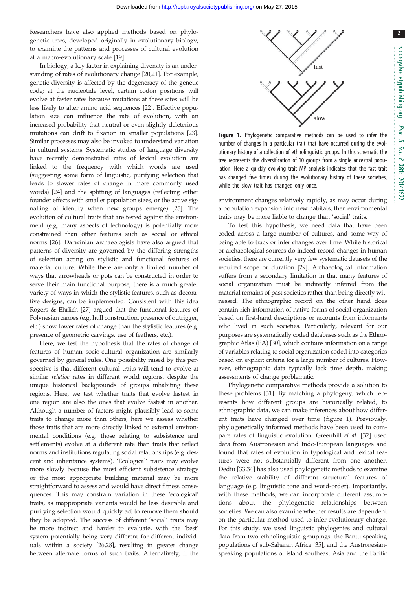2

<span id="page-1-0"></span>Researchers have also applied methods based on phylogenetic trees, developed originally in evolutionary biology, to examine the patterns and processes of cultural evolution at a macro-evolutionary scale [\[19](#page-7-0)].

In biology, a key factor in explaining diversity is an understanding of rates of evolutionary change [[20](#page-7-0),[21](#page-7-0)]. For example, genetic diversity is affected by the degeneracy of the genetic code; at the nucleotide level, certain codon positions will evolve at faster rates because mutations at these sites will be less likely to alter amino acid sequences [[22](#page-7-0)]. Effective population size can influence the rate of evolution, with an increased probability that neutral or even slightly deleterious mutations can drift to fixation in smaller populations [[23](#page-7-0)]. Similar processes may also be invoked to understand variation in cultural systems. Systematic studies of language diversity have recently demonstrated rates of lexical evolution are linked to the frequency with which words are used (suggesting some form of linguistic, purifying selection that leads to slower rates of change in more commonly used words) [[24\]](#page-7-0) and the splitting of languages (reflecting either founder effects with smaller population sizes, or the active signalling of identity when new groups emerge) [\[25\]](#page-7-0). The evolution of cultural traits that are tested against the environment (e.g. many aspects of technology) is potentially more constrained than other features such as social or ethical norms [\[26\]](#page-7-0). Darwinian archaeologists have also argued that patterns of diversity are governed by the differing strengths of selection acting on stylistic and functional features of material culture. While there are only a limited number of ways that arrowheads or pots can be constructed in order to serve their main functional purpose, there is a much greater variety of ways in which the stylistic features, such as decorative designs, can be implemented. Consistent with this idea Rogers & Ehrlich [[27\]](#page-7-0) argued that the functional features of Polynesian canoes (e.g. hull construction, presence of outrigger, etc.) show lower rates of change than the stylistic features (e.g. presence of geometric carvings, use of feathers, etc.).

Here, we test the hypothesis that the rates of change of features of human socio-cultural organization are similarly governed by general rules. One possibility raised by this perspective is that different cultural traits will tend to evolve at similar relative rates in different world regions, despite the unique historical backgrounds of groups inhabiting these regions. Here, we test whether traits that evolve fastest in one region are also the ones that evolve fastest in another. Although a number of factors might plausibly lead to some traits to change more than others, here we assess whether those traits that are more directly linked to external environmental conditions (e.g. those relating to subsistence and settlements) evolve at a different rate than traits that reflect norms and institutions regulating social relationships (e.g. descent and inheritance systems). 'Ecological' traits may evolve more slowly because the most efficient subsistence strategy or the most appropriate building material may be more straightforward to assess and would have direct fitness consequences. This may constrain variation in these 'ecological' traits, as inappropriate variants would be less desirable and purifying selection would quickly act to remove them should they be adopted. The success of different 'social' traits may be more indirect and harder to evaluate, with the 'best' system potentially being very different for different individuals within a society [\[26,28](#page-7-0)], resulting in greater change between alternate forms of such traits. Alternatively, if the



Figure 1. Phylogenetic comparative methods can be used to infer the number of changes in a particular trait that have occurred during the evolutionary history of a collection of ethnolinguistic groups. In this schematic the tree represents the diversification of 10 groups from a single ancestral population. Here a quickly evolving trait MP analysis indicates that the fast trait has changed five times during the evolutionary history of these societies, while the slow trait has changed only once.

environment changes relatively rapidly, as may occur during a population expansion into new habitats, then environmental traits may be more liable to change than 'social' traits.

To test this hypothesis, we need data that have been coded across a large number of cultures, and some way of being able to track or infer changes over time. While historical or archaeological sources do indeed record changes in human societies, there are currently very few systematic datasets of the required scope or duration [[29](#page-7-0)]. Archaeological information suffers from a secondary limitation in that many features of social organization must be indirectly inferred from the material remains of past societies rather than being directly witnessed. The ethnographic record on the other hand does contain rich information of native forms of social organization based on first-hand descriptions or accounts from informants who lived in such societies. Particularly, relevant for our purposes are systematically coded databases such as the Ethnographic Atlas (EA) [\[30\]](#page-7-0), which contains information on a range of variables relating to social organization coded into categories based on explicit criteria for a large number of cultures. However, ethnographic data typically lack time depth, making assessments of change problematic.

Phylogenetic comparative methods provide a solution to these problems [[31](#page-7-0)]. By matching a phylogeny, which represents how different groups are historically related, to ethnographic data, we can make inferences about how different traits have changed over time (figure 1). Previously, phylogenetically informed methods have been used to compare rates of linguistic evolution. Greenhill et al. [\[32](#page-7-0)] used data from Austronesian and Indo-European languages and found that rates of evolution in typological and lexical features were not substantially different from one another. Dediu [\[33](#page-7-0),[34\]](#page-7-0) has also used phylogenetic methods to examine the relative stability of different structural features of language (e.g. linguistic tone and word-order). Importantly, with these methods, we can incorporate different assumptions about the phylogenetic relationships between societies. We can also examine whether results are dependent on the particular method used to infer evolutionary change. For this study, we used linguistic phylogenies and cultural data from two ethnolinguistic groupings: the Bantu-speaking populations of sub-Saharan Africa [\[35\]](#page-7-0), and the Austronesianspeaking populations of island southeast Asia and the Pacific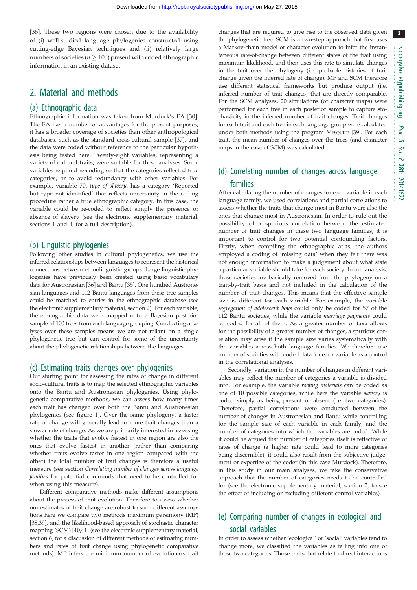[\[36](#page-7-0)]. These two regions were chosen due to the availability of (i) well-studied language phylogenies constructed using cutting-edge Bayesian techniques and (ii) relatively large numbers of societies ( $n\geq 100$ ) present with coded ethnographic information in an existing dataset.

## 2. Material and methods

## (a) Ethnographic data

Ethnographic information was taken from Murdock's EA [\[30\]](#page-7-0). The EA has a number of advantages for the present purposes; it has a broader coverage of societies than other anthropological databases, such as the standard cross-cultural sample [[37](#page-7-0)], and the data were coded without reference to the particular hypothesis being tested here. Twenty-eight variables, representing a variety of cultural traits, were suitable for these analyses. Some variables required re-coding so that the categories reflected true categories, or to avoid redundancy with other variables. For example, variable 70, type of slavery, has a category 'Reported but type not identified' that reflects uncertainty in the coding procedure rather a true ethnographic category. In this case, the variable could be re-coded to reflect simply the presence or absence of slavery (see the electronic supplementary material, sections 1 and 4, for a full description).

### (b) Linguistic phylogenies

Following other studies in cultural phylogenetics, we use the inferred relationships between languages to represent the historical connections between ethnolinguistic groups. Large linguistic phylogenies have previously been created using basic vocabulary data for Austronesian [[36\]](#page-7-0) and Bantu [\[35\]](#page-7-0). One hundred Austronesian languages and 112 Bantu languages from these tree samples could be matched to entries in the ethnographic database (see the electronic supplementary material, section 2). For each variable, the ethnographic data were mapped onto a Bayesian posterior sample of 100 trees from each language grouping. Conducting analyses over these samples means we are not reliant on a single phylogenetic tree but can control for some of the uncertainty about the phylogenetic relationships between the languages.

#### (c) Estimating traits changes over phylogenies

Our starting point for assessing the rates of change in different socio-cultural traits is to map the selected ethnographic variables onto the Bantu and Austronesian phylogenies. Using phylogenetic comparative methods, we can assess how many times each trait has changed over both the Bantu and Austronesian phylogenies (see [figure 1\)](#page-1-0). Over the same phylogeny, a faster rate of change will generally lead to more trait changes than a slower rate of change. As we are primarily interested in assessing whether the traits that evolve fastest in one region are also the ones that evolve fastest in another (rather than comparing whether traits evolve faster in one region compared with the other) the total number of trait changes is therefore a useful measure (see section Correlating number of changes across language families for potential confounds that need to be controlled for when using this measure).

Different comparative methods make different assumptions about the process of trait evolution. Therefore to assess whether our estimates of trait change are robust to such different assumptions here we compare two methods maximum parsimony (MP) [\[38,39\]](#page-7-0), and the likelihood-based approach of stochastic character mapping (SCM) [[40,41](#page-7-0)] (see the electronic supplementary material, section 6, for a discussion of different methods of estimating numbers and rates of trait change using phylogenetic comparative methods). MP infers the minimum number of evolutionary trait

changes that are required to give rise to the observed data given the phylogenetic tree. SCM is a two-step approach that first uses a Markov-chain model of character evolution to infer the instantaneous rate-of-change between different states of the trait using maximum-likelihood, and then uses this rate to simulate changes in the trait over the phylogeny (i.e. probable histories of trait change given the inferred rate of change). MP and SCM therefore use different statistical frameworks but produce output (i.e. inferred number of trait changes) that are directly comparable. For the SCM analyses, 20 simulations (or character maps) were performed for each tree in each posterior sample to capture stochasticity in the inferred number of trait changes. Trait changes for each trait and each tree in each language group were calculated under both methods using the program MESQUITE [\[39\]](#page-7-0). For each trait, the mean number of changes over the trees (and character maps in the case of SCM) was calculated.

## (d) Correlating number of changes across language families

After calculating the number of changes for each variable in each language family, we used correlations and partial correlations to assess whether the traits that change most in Bantu were also the ones that change most in Austronesian. In order to rule out the possibility of a spurious correlation between the estimated number of trait changes in these two language families, it is important to control for two potential confounding factors. Firstly, when compiling the ethnographic atlas, the authors employed a coding of 'missing data' when they felt there was not enough information to make a judgement about what state a particular variable should take for each society. In our analysis, these societies are basically removed from the phylogeny on a trait-by-trait basis and not included in the calculation of the number of trait changes. This means that the effective sample size is different for each variable. For example, the variable segregation of adolescent boys could only be coded for 57 of the 112 Bantu societies, while the variable marriage payments could be coded for all of them. As a greater number of taxa allows for the possibility of a greater number of changes, a spurious correlation may arise if the sample size varies systematically with the variables across both language families. We therefore use number of societies with coded data for each variable as a control in the correlational analyses.

Secondly, variation in the number of changes in different variables may reflect the number of categories a variable is divided into. For example, the variable roofing materials can be coded as one of 10 possible categories, while here the variable slavery is coded simply as being present or absent (i.e. two categories). Therefore, partial correlations were conducted between the number of changes in Austronesian and Bantu while controlling for the sample size of each variable in each family, and the number of categories into which the variables are coded. While it could be argued that number of categories itself is reflective of rates of change (a higher rate could lead to more categories being discernible), it could also result from the subjective judgement or expertize of the coder (in this case Murdock). Therefore, in this study in our main analyses, we take the conservative approach that the number of categories needs to be controlled for (see the electronic supplementary material, section 7, to see the effect of including or excluding different control variables).

# (e) Comparing number of changes in ecological and social variables

In order to assess whether 'ecological' or 'social' variables tend to change more, we classified the variables as falling into one of these two categories. Those traits that relate to direct interactions 3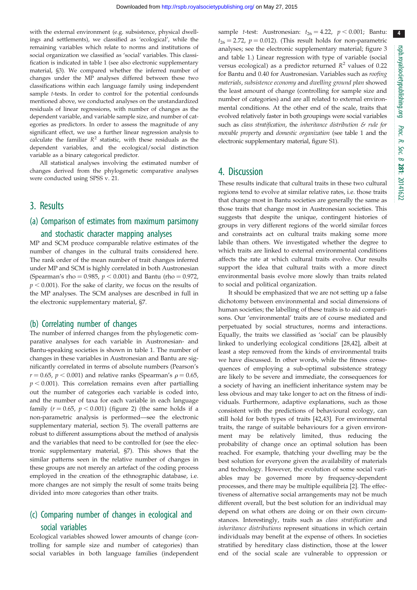with the external environment (e.g. subsistence, physical dwellings and settlements), we classified as 'ecological', while the remaining variables which relate to norms and institutions of social organization we classified as 'social' variables. This classification is indicated in [table 1](#page-4-0) (see also electronic supplementary material, §3). We compared whether the inferred number of changes under the MP analyses differed between these two classifications within each language family using independent sample t-tests. In order to control for the potential confounds mentioned above, we conducted analyses on the unstandardized residuals of linear regressions, with number of changes as the dependent variable, and variable sample size, and number of categories as predictors. In order to assess the magnitude of any significant effect, we use a further linear regression analysis to calculate the familiar  $R^2$  statistic, with these residuals as the dependent variables, and the ecological/social distinction variable as a binary categorical predictor.

All statistical analyses involving the estimated number of changes derived from the phylogenetic comparative analyses were conducted using SPSS v. 21.

## 3. Results

# (a) Comparison of estimates from maximum parsimony and stochastic character mapping analyses

MP and SCM produce comparable relative estimates of the number of changes in the cultural traits considered here. The rank order of the mean number of trait changes inferred under MP and SCM is highly correlated in both Austronesian (Spearman's rho = 0.985,  $p < 0.001$ ) and Bantu (rho = 0.972,  $p < 0.001$ ). For the sake of clarity, we focus on the results of the MP analyses. The SCM analyses are described in full in the electronic supplementary material, §7.

### (b) Correlating number of changes

The number of inferred changes from the phylogenetic comparative analyses for each variable in Austronesian- and Bantu-speaking societies is shown in [table 1.](#page-4-0) The number of changes in these variables in Austronesian and Bantu are significantly correlated in terms of absolute numbers (Pearson's  $r = 0.65$ ,  $p < 0.001$ ) and relative ranks (Spearman's  $\rho = 0.65$ ,  $p < 0.001$ ). This correlation remains even after partialling out the number of categories each variable is coded into, and the number of taxa for each variable in each language family ( $r = 0.65$ ,  $p < 0.001$ ) [\(figure 2\)](#page-5-0) (the same holds if a non-parametric analysis is performed—see the electronic supplementary material, section 5). The overall patterns are robust to different assumptions about the method of analysis and the variables that need to be controlled for (see the electronic supplementary material, §7). This shows that the similar patterns seen in the relative number of changes in these groups are not merely an artefact of the coding process employed in the creation of the ethnographic database, i.e. more changes are not simply the result of some traits being divided into more categories than other traits.

## (c) Comparing number of changes in ecological and social variables

Ecological variables showed lower amounts of change (controlling for sample size and number of categories) than social variables in both language families (independent sample *t*-test: Austronesian:  $t_{26} = 4.22$ ,  $p < 0.001$ ; Bantu:  $t_{26} = 2.72$ ,  $p = 0.012$ ). (This result holds for non-parametric analyses; see the electronic supplementary material; [figure 3](#page-5-0) and [table 1.](#page-4-0)) Linear regression with type of variable (social versus ecological) as a predictor returned  $R^2$  values of 0.22 for Bantu and 0.40 for Austronesian. Variables such as roofing materials, subsistence economy and dwelling ground plan showed the least amount of change (controlling for sample size and number of categories) and are all related to external environmental conditions. At the other end of the scale, traits that evolved relatively faster in both groupings were social variables such as class stratification, the inheritance distribution  $\varepsilon$  rule for movable property and domestic organization (see [table 1](#page-4-0) and the electronic supplementary material, figure S1).

## 4. Discussion

These results indicate that cultural traits in these two cultural regions tend to evolve at similar relative rates, i.e. those traits that change most in Bantu societies are generally the same as those traits that change most in Austronesian societies. This suggests that despite the unique, contingent histories of groups in very different regions of the world similar forces and constraints act on cultural traits making some more labile than others. We investigated whether the degree to which traits are linked to external environmental conditions affects the rate at which cultural traits evolve. Our results support the idea that cultural traits with a more direct environmental basis evolve more slowly than traits related to social and political organization.

It should be emphasized that we are not setting up a false dichotomy between environmental and social dimensions of human societies; the labelling of these traits is to aid comparisons. Our 'environmental' traits are of course mediated and perpetuated by social structures, norms and interactions. Equally, the traits we classified as 'social' can be plausibly linked to underlying ecological conditions [[28,42\]](#page-7-0), albeit at least a step removed from the kinds of environmental traits we have discussed. In other words, while the fitness consequences of employing a sub-optimal subsistence strategy are likely to be severe and immediate, the consequences for a society of having an inefficient inheritance system may be less obvious and may take longer to act on the fitness of individuals. Furthermore, adaptive explanations, such as those consistent with the predictions of behavioural ecology, can still hold for both types of traits [[42,43](#page-7-0)]. For environmental traits, the range of suitable behaviours for a given environment may be relatively limited, thus reducing the probability of change once an optimal solution has been reached. For example, thatching your dwelling may be the best solution for everyone given the availability of materials and technology. However, the evolution of some social variables may be governed more by frequency-dependent processes, and there may be multiple equilibria [[2](#page-6-0)]. The effectiveness of alternative social arrangements may not be much different overall, but the best solution for an individual may depend on what others are doing or on their own circumstances. Interestingly, traits such as class stratification and inheritance distributions represent situations in which certain individuals may benefit at the expense of others. In societies stratified by hereditary class distinction, those at the lower end of the social scale are vulnerable to oppression or 4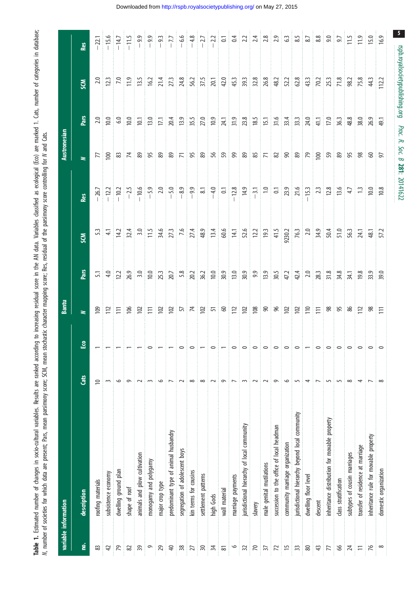<span id="page-4-0"></span>Table 1. Estimated number of changes in socio-cultural variables. Results are ranked according to increasing residual score in the AN data. Variables dassified as ecological (Eco) are marked 1. Cats, number of sategories i Table 1. Estimated number of changes in socio-cultural variables. Results are Results are raked according to increasing residual score in the AN data, Variables classified as ecological (Eco) are marked 1. Cats, number of N, number of societies for which data are present; Pars, mean parsimony score; SCM, mean stochastic character mapping score; Res, residual of the parsimony score controlling for N and Cats.

|                 | variable information                            |           |   | Bantu                    |      |                                                                                                                                                                                                                                                                                                                             |     | <b>Austronesian</b>                                                                                                                                                                                                                                                                                                                                                                                                                                                                    |      |             |     |
|-----------------|-------------------------------------------------|-----------|---|--------------------------|------|-----------------------------------------------------------------------------------------------------------------------------------------------------------------------------------------------------------------------------------------------------------------------------------------------------------------------------|-----|----------------------------------------------------------------------------------------------------------------------------------------------------------------------------------------------------------------------------------------------------------------------------------------------------------------------------------------------------------------------------------------------------------------------------------------------------------------------------------------|------|-------------|-----|
| g               | description                                     | Cats      | 띥 | $\overline{\phantom{0}}$ | Pars | 55 <sub>o</sub>                                                                                                                                                                                                                                                                                                             | Res | $\overline{\phantom{0}}$                                                                                                                                                                                                                                                                                                                                                                                                                                                               | Pars | $\tilde{g}$ | Res |
| 83              | roofing materials                               | $\approx$ |   |                          |      |                                                                                                                                                                                                                                                                                                                             |     |                                                                                                                                                                                                                                                                                                                                                                                                                                                                                        |      |             |     |
| 42              | subsistence economy                             | $\sim$    |   |                          |      |                                                                                                                                                                                                                                                                                                                             |     |                                                                                                                                                                                                                                                                                                                                                                                                                                                                                        |      |             |     |
| 79              | dwelling ground plan                            | ص         |   |                          |      |                                                                                                                                                                                                                                                                                                                             |     |                                                                                                                                                                                                                                                                                                                                                                                                                                                                                        |      |             |     |
| 82              | shape of roof                                   | Q         |   |                          |      |                                                                                                                                                                                                                                                                                                                             |     |                                                                                                                                                                                                                                                                                                                                                                                                                                                                                        |      |             |     |
| 39              | animals and plow cultivation                    |           |   |                          |      |                                                                                                                                                                                                                                                                                                                             |     |                                                                                                                                                                                                                                                                                                                                                                                                                                                                                        |      |             |     |
| $\circ$         | monogamy and polygamy                           |           |   |                          |      |                                                                                                                                                                                                                                                                                                                             |     |                                                                                                                                                                                                                                                                                                                                                                                                                                                                                        |      |             |     |
| 29              | major crop type                                 | ص         |   |                          |      |                                                                                                                                                                                                                                                                                                                             |     |                                                                                                                                                                                                                                                                                                                                                                                                                                                                                        |      |             |     |
| $\overline{a}$  | predominant type of animal husbandry            |           |   |                          |      |                                                                                                                                                                                                                                                                                                                             |     |                                                                                                                                                                                                                                                                                                                                                                                                                                                                                        |      |             |     |
| 38              | segregation of adolescent boys                  |           |   |                          |      | $\frac{1}{2}$ 17<br>$\frac{1}{2}$ 17<br>$\frac{1}{2}$ 17<br>$\frac{1}{2}$ 17<br>$\frac{1}{2}$ 17<br>$\frac{1}{2}$ 17<br>$\frac{1}{2}$ 17<br>$\frac{1}{2}$ 17<br>$\frac{1}{2}$ 19<br>$\frac{1}{2}$ 17<br>$\frac{1}{2}$ 19<br>$\frac{1}{2}$ 19<br>$\frac{1}{2}$ 19<br>$\frac{1}{2}$ 19<br>$\frac{1}{2}$ 19<br>$\frac{1}{2}$ 1 |     | $\mathcal{F} \mid \mathcal{B} \mid \mathcal{B} \mid \mathcal{B} \mid \mathcal{B} \mid \mathcal{B} \mid \mathcal{B} \mid \mathcal{B} \mid \mathcal{B} \mid \mathcal{B} \mid \mathcal{B} \mid \mathcal{B} \mid \mathcal{B} \mid \mathcal{B} \mid \mathcal{B} \mid \mathcal{B} \mid \mathcal{B} \mid \mathcal{B} \mid \mathcal{B} \mid \mathcal{B} \mid \mathcal{B} \mid \mathcal{B} \mid \mathcal{B} \mid \mathcal{B} \mid \mathcal{B} \mid \mathcal{B} \mid \mathcal{B} \mid \mathcal{$ |      |             |     |
| 27              | kin terms for cousins                           | $\infty$  |   |                          |      |                                                                                                                                                                                                                                                                                                                             |     |                                                                                                                                                                                                                                                                                                                                                                                                                                                                                        |      |             |     |
| $\overline{50}$ | settlement patterns                             | $\infty$  |   |                          |      |                                                                                                                                                                                                                                                                                                                             |     |                                                                                                                                                                                                                                                                                                                                                                                                                                                                                        |      |             |     |
| 34              | high Gods                                       | $\sim$    |   |                          |      |                                                                                                                                                                                                                                                                                                                             |     |                                                                                                                                                                                                                                                                                                                                                                                                                                                                                        |      |             |     |
| $\overline{8}$  | wall material                                   | Q         |   |                          |      |                                                                                                                                                                                                                                                                                                                             |     |                                                                                                                                                                                                                                                                                                                                                                                                                                                                                        |      |             |     |
| $\circ$         | marriage payments                               |           |   |                          |      |                                                                                                                                                                                                                                                                                                                             |     |                                                                                                                                                                                                                                                                                                                                                                                                                                                                                        |      |             |     |
| 32              | jurisdictional hierarchy of local community     | $\sim$    |   |                          |      |                                                                                                                                                                                                                                                                                                                             |     |                                                                                                                                                                                                                                                                                                                                                                                                                                                                                        |      |             |     |
| $\approx$       | slavery                                         | Z         |   |                          |      |                                                                                                                                                                                                                                                                                                                             |     |                                                                                                                                                                                                                                                                                                                                                                                                                                                                                        |      |             |     |
| 57              | male genital mutilations                        |           |   |                          |      |                                                                                                                                                                                                                                                                                                                             |     |                                                                                                                                                                                                                                                                                                                                                                                                                                                                                        |      |             |     |
| R               | succession to the office of local headman       | Q         |   |                          |      |                                                                                                                                                                                                                                                                                                                             |     |                                                                                                                                                                                                                                                                                                                                                                                                                                                                                        |      |             |     |
| 15              | community marriage organization                 | ص         |   |                          |      |                                                                                                                                                                                                                                                                                                                             |     |                                                                                                                                                                                                                                                                                                                                                                                                                                                                                        |      |             |     |
| 33              | jurisdictional hierarchy beyond local community | 5         |   |                          |      |                                                                                                                                                                                                                                                                                                                             |     |                                                                                                                                                                                                                                                                                                                                                                                                                                                                                        |      |             |     |
| 80              | dwelling floor level                            | 4         |   |                          |      |                                                                                                                                                                                                                                                                                                                             |     |                                                                                                                                                                                                                                                                                                                                                                                                                                                                                        |      |             |     |
| $\overline{4}$  | descent                                         | L         |   |                          |      |                                                                                                                                                                                                                                                                                                                             |     |                                                                                                                                                                                                                                                                                                                                                                                                                                                                                        |      |             |     |
| 77              | inheritance distribution for movable property   | 5         | 0 |                          |      |                                                                                                                                                                                                                                                                                                                             |     |                                                                                                                                                                                                                                                                                                                                                                                                                                                                                        |      |             |     |
| 8               | class stratification                            | 5         | 0 |                          |      |                                                                                                                                                                                                                                                                                                                             |     |                                                                                                                                                                                                                                                                                                                                                                                                                                                                                        |      |             |     |
| 24              | subtypes of cousin marriages                    | ∞         |   |                          |      |                                                                                                                                                                                                                                                                                                                             |     |                                                                                                                                                                                                                                                                                                                                                                                                                                                                                        |      |             |     |
| $\equiv$        | transfer of residence at marriage               | 4         | 0 |                          |      |                                                                                                                                                                                                                                                                                                                             |     |                                                                                                                                                                                                                                                                                                                                                                                                                                                                                        |      |             |     |
| 76              | inheritance rule for movable property           |           | 0 |                          |      |                                                                                                                                                                                                                                                                                                                             |     |                                                                                                                                                                                                                                                                                                                                                                                                                                                                                        |      |             |     |
| $\infty$        | domestic organization                           | ∞         | 0 |                          |      |                                                                                                                                                                                                                                                                                                                             |     |                                                                                                                                                                                                                                                                                                                                                                                                                                                                                        |      |             |     |

rspb.royalsocietypublishing.org

 $\overline{\phantom{a}}$ 

Proc. R. Soc. $\sigma$ 281:

20141622 5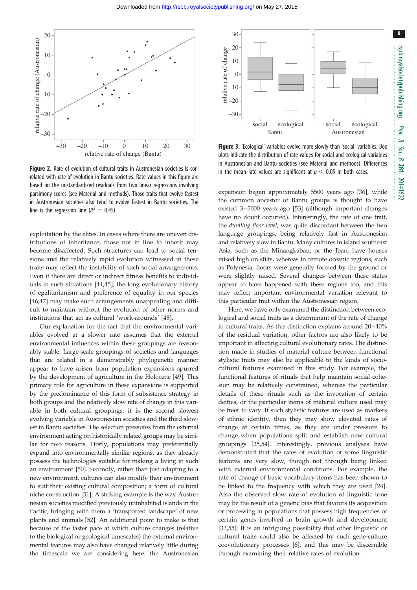<span id="page-5-0"></span>

Figure 2. Rate of evolution of cultural traits in Austronesian societies is correlated with rate of evolution in Bantu societies. Rate values in this figure are based on the unstandardized residuals from two linear regressions involving parsimony scores (see Material and methods). Those traits that evolve fastest in Austronesian societies also tend to evolve fastest in Bantu societies. The line is the regression line ( $R^2 = 0.45$ ).

exploitation by the elites. In cases where there are uneven distributions of inheritance, those not in line to inherit may become disaffected. Such structures can lead to social tensions and the relatively rapid evolution witnessed in these traits may reflect the instability of such social arrangements. Even if there are direct or indirect fitness benefits to individuals in such situations [[44,45](#page-7-0)], the long evolutionary history of egalitarianism and preference of equality in our species [\[46](#page-7-0),[47\]](#page-7-0) may make such arrangements unappealing and difficult to maintain without the evolution of other norms and institutions that act as cultural 'work-arounds' [\[48](#page-7-0)].

Our explanation for the fact that the environmental variables evolved at a slower rate assumes that the external environmental influences within these groupings are reasonably stable. Large-scale groupings of societies and languages that are related in a demonstrably phylogenetic manner appear to have arisen from population expansions spurred by the development of agriculture in the Holocene [[49\]](#page-7-0). This primary role for agriculture in these expansions is supported by the predominance of this form of subsistence strategy in both groups and the relatively slow rate of change in this variable in both cultural groupings; it is the second slowest evolving variable in Austronesian societies and the third slowest in Bantu societies. The selection pressures from the external environment acting on historically related groups may be similar for two reasons. Firstly, populations may preferentially expand into environmentally similar regions, as they already possess the technologies suitable for making a living in such an environment [[50\]](#page-7-0). Secondly, rather than just adapting to a new environment, cultures can also modify their environment to suit their existing cultural composition; a form of cultural niche construction [[51\]](#page-7-0). A striking example is the way Austronesian societies modified previously uninhabited islands in the Pacific, bringing with them a 'transported landscape' of new plants and animals [\[52](#page-7-0)]. An additional point to make is that because of the faster pace at which culture changes (relative to the biological or geological timescales) the external environmental features may also have changed relatively little during the timescale we are considering here: the Austronesian



Figure 3. 'Ecological' variables evolve more slowly than 'social' variables. Box plots indicate the distribution of rate values for social and ecological variables in Austronesian and Bantu societies (see Material and methods). Differences in the mean rate values are significant at  $p < 0.05$  in both cases.

expansion began approximately 5500 years ago [[36\]](#page-7-0), while the common ancestor of Bantu groups is thought to have existed 3–5000 years ago [\[53\]](#page-7-0) (although important changes have no doubt occurred). Interestingly, the rate of one trait, the dwelling floor level, was quite discordant between the two language groupings, being relatively fast in Austronesian and relatively slow in Bantu. Many cultures in island southeast Asia, such as the Minangkabau, or the Iban, have houses raised high on stilts, whereas in remote oceanic regions, such as Polynesia, floors were generally formed by the ground or were slightly raised. Several changes between these states appear to have happened with these regions too, and this may reflect important environmental variation relevant to this particular trait within the Austronesian region.

Here, we have only examined the distinction between ecological and social traits as a determinant of the rate of change in cultural traits. As this distinction explains around 20–40% of the residual variation, other factors are also likely to be important in affecting cultural evolutionary rates. The distinction made in studies of material culture between functional stylistic traits may also be applicable to the kinds of sociocultural features examined in this study. For example, the functional features of rituals that help maintain social cohesion may be relatively constrained, whereas the particular details of these rituals such as the invocation of certain deities, or the particular items of material culture used may be freer to vary. If such stylistic features are used as markers of ethnic identity, then they may show elevated rates of change at certain times, as they are under pressure to change when populations split and establish new cultural groupings [[25,54](#page-7-0)]. Interestingly, previous analyses have demonstrated that the rates of evolution of some linguistic features are very slow, though not through being linked with external environmental conditions. For example, the rate of change of basic vocabulary items has been shown to be linked to the frequency with which they are used [[24\]](#page-7-0). Also the observed slow rate of evolution of linguistic tone may be the result of a genetic bias that favours its acquisition or processing in populations that possess high frequencies of certain genes involved in brain growth and development [[33,55\]](#page-7-0). It is an intriguing possibility that other linguistic or cultural traits could also be affected by such gene-culture coevolutionary processes [\[6](#page-6-0)], and this may be discernible through examining their relative rates of evolution.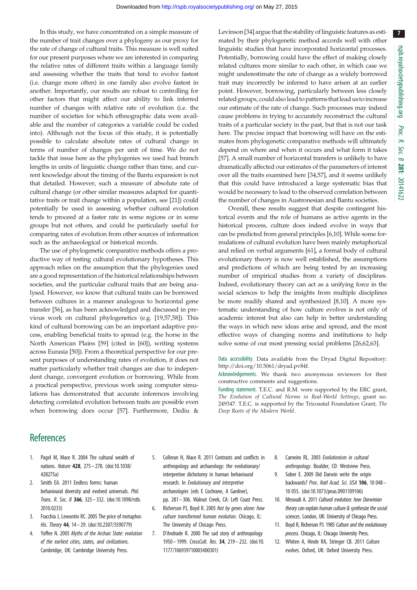<span id="page-6-0"></span>In this study, we have concentrated on a simple measure of the number of trait changes over a phylogeny as our proxy for the rate of change of cultural traits. This measure is well suited for our present purposes where we are interested in comparing the relative rates of different traits within a language family and assessing whether the traits that tend to evolve fastest (i.e. change more often) in one family also evolve fastest in another. Importantly, our results are robust to controlling for other factors that might affect our ability to link inferred number of changes with relative rate of evolution (i.e. the number of societies for which ethnographic data were available and the number of categories a variable could be coded into). Although not the focus of this study, it is potentially possible to calculate absolute rates of cultural change in terms of number of changes per unit of time. We do not tackle that issue here as the phylogenies we used had branch lengths in units of linguistic change rather than time, and current knowledge about the timing of the Bantu expansion is not that detailed. However, such a measure of absolute rate of cultural change (or other similar measures adapted for quantitative traits or trait change within a population, see [\[21\]](#page-7-0)) could potentially be used in assessing whether cultural evolution tends to proceed at a faster rate in some regions or in some groups but not others, and could be particularly useful for comparing rates of evolution from other sources of information such as the archaeological or historical records.

The use of phylogenetic comparative methods offers a productive way of testing cultural evolutionary hypotheses. This approach relies on the assumption that the phylogenies used are a good representation of the historical relationships between societies, and the particular cultural traits that are being analysed. However, we know that cultural traits can be borrowed between cultures in a manner analogous to horizontal gene transfer [\[56](#page-7-0)], as has been acknowledged and discussed in previous work on cultural phylogenetics (e.g. [[19](#page-7-0),[57](#page-7-0),[58](#page-7-0)]). This kind of cultural borrowing can be an important adaptive process, enabling beneficial traits to spread (e.g. the horse in the North American Plains [\[59\]](#page-7-0) (cited in [[60](#page-7-0)]), writing systems across Eurasia [\[50\]](#page-7-0)). From a theoretical perspective for our present purposes of understanding rates of evolution, it does not matter particularly whether trait changes are due to independent change, convergent evolution or borrowing. While from a practical perspective, previous work using computer simulations has demonstrated that accurate inferences involving detecting correlated evolution between traits are possible even when borrowing does occur [\[57](#page-7-0)]. Furthermore, Dediu &

Levinson [[34](#page-7-0)] argue that the stability of linguistic features as estimated by their phylogenetic method accords well with other linguistic studies that have incorporated horizontal processes. Potentially, borrowing could have the effect of making closely related cultures more similar to each other, in which case we might underestimate the rate of change as a widely borrowed trait may incorrectly be inferred to have arisen at an earlier point. However, borrowing, particularly between less closely related groups, could also lead to patterns that lead us toincrease our estimate of the rate of change. Such processes may indeed cause problems in trying to accurately reconstruct the cultural traits of a particular society in the past, but that is not our task here. The precise impact that borrowing will have on the estimates from phylogenetic comparative methods will ultimately depend on where and when it occurs and what form it takes [[57](#page-7-0)]. A small number of horizontal transfers is unlikely to have dramatically affected our estimates of the parameters of interest over all the traits examined here [\[34,57](#page-7-0)], and it seems unlikely that this could have introduced a large systematic bias that would be necessary to lead to the observed correlation between the number of changes in Austronesian and Bantu societies.

Overall, these results suggest that despite contingent historical events and the role of humans as active agents in the historical process, culture does indeed evolve in ways that can be predicted from general principles [6,10]. While some formulations of cultural evolution have been mainly metaphorical and relied on verbal arguments [\[61\]](#page-7-0), a formal body of cultural evolutionary theory is now well established, the assumptions and predictions of which are being tested by an increasing number of empirical studies from a variety of disciplines. Indeed, evolutionary theory can act as a unifying force in the social sciences to help the insights from multiple disciplines be more readily shared and synthesized [8,10]. A more systematic understanding of how culture evolves is not only of academic interest but also can help in better understanding the ways in which new ideas arise and spread, and the most effective ways of changing norms and institutions to help solve some of our most pressing social problems [\[26,62,63\]](#page-7-0).

Data accessibility. Data available from the Dryad Digital Repository: [http://doi.org/10.5061/dryad.pv84f.](http://doi.org/10.5061/dryad.pv84f)

Acknowledgements. We thank two anonymous reviewers for their constructive comments and suggestions.

Funding statement. T.E.C. and R.M. were supported by the ERC grant, The Evolution of Cultural Norms in Real-World Settings, grant no. 249347. T.E.C. is supported by the Tricoastal Foundation Grant, The Deep Roots of the Modern World.

## **References**

- 1. Pagel M, Mace R. 2004 The cultural wealth of nations. Nature 428, 275 – 278. ([doi:10.1038/](http://dx.doi.org/10.1038/428275a) [428275a\)](http://dx.doi.org/10.1038/428275a)
- 2. Smith EA. 2011 Endless forms: human behavioural diversity and evolved universals. Phil. Trans. R. Soc. B 366, 325 – 332. ([doi:10.1098/rstb.](http://dx.doi.org/10.1098/rstb.2010.0233) [2010.0233\)](http://dx.doi.org/10.1098/rstb.2010.0233)
- 3. Fracchia J, Lewontin RC. 2005 The price of metaphor. His. Theory 44, 14-29. [\(doi:10.2307/3590779](http://dx.doi.org/10.2307/3590779))
- 4. Yoffee N. 2005 Myths of the Archaic State: evolution of the earliest cities, states, and civilizations. Cambridge, UK: Cambridge University Press.
- 5. Colleran H, Mace R. 2011 Contrasts and conflicts in anthropology and archaeology: the evolutionary/ interpretive dichotomy in human behavioural research. In Evolutionary and interpretive archaeologies (eds E Cochrane, A Gardner), pp. 281– 306. Walnut Creek, CA: Left Coast Press.
- 6. Richerson PJ, Boyd R. 2005 Not by genes alone: how culture transformed human evolution. Chicago, IL: The University of Chicago Press.
- 7. D'Andrade R. 2000 The sad story of anthropology 1950 – 1999. CrossCult. Res. 34, 219– 232. ([doi:10.](http://dx.doi.org/10.1177/106939710003400301) [1177/106939710003400301\)](http://dx.doi.org/10.1177/106939710003400301)
- 8. Carneiro RL. 2003 Evolutionism in cultural anthropology. Boulder, CO: Westview Press.
- 9. Sober E. 2009 Did Darwin write the origin backwards? Proc. Natl Acad. Sci. USA 106, 10 048-10 055. [\(doi:10.1073/pnas.0901109106](http://dx.doi.org/10.1073/pnas.0901109106))
- 10. Mesoudi A. 2011 Cultural evolution: how Darwinian theory can explain human culture & synthesize the social sciences. London, UK: University of Chicago Press.
- 11. Boyd R, Richerson PJ. 1985 Culture and the evolutionary process. Chicago, IL: Chicago University Press.
- 12. Whiten A, Hinde RA, Stringer CB. 2011 Culture evolves. Oxford, UK: Oxford University Press.